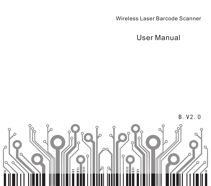Wireless Laser Barcode Scanner

User Manual



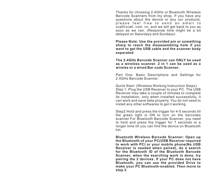Thanks for choosing 2.4GHz or Bluetooth Wireless Barcode Scanners from my shop. If you have any questions about the device or any our products, please feel free to send an email to vcall@vcall.com.cn, and we will get back to you as soon as we can. (Response time might be a bit delayed on Saturdays and Sundays)

**Please Note: Use the provided pin or something sharp to reach the disassembling hole if you want to get the USB cable and the scanner body separated**.

**The 2.4GHz Barcode Scanner can ONLY be used as a wireless scanner. 2 in 1 can be used as a wirelss or a wired Bar code Scanner.**

Part One: Basic Descriptions and Settings for 2.4GHz Barcode Scanner.

Quick Start: (Wireless Working Instruction Steps) Step 1: Plug the USB Receiver to your PC. The USB Receiver may take a couple of minutes to complete its installation, only when installed successfully, it can work and save data properly. You do not need to install any other softwares to get it working.

Step2: Hold and press the trigger for 4-5 seconds till the green light is ON to turn on the barcodes scanner.For Bluetooth Barcode Scanner, you need to hold and press the trigger for 7 seconds or a longer time till you can find the device on Bluetooth list.

**Bluetooth Wireless Barcode Scanner: Open up the Bluetooth of your PC(USB Receiver required to work with PC) or your mobile phone(No USB Receiver is needed when paired), do a search for the Bluetooth ID of the Bluetooth Barcode Scanner, when the searching work is done, try pairing the 2 devices. If your PC does not have Bluetooth, you can use the provided Drive to make your PC Bluetooth-enabled. Then move to step 3.**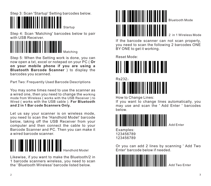Step 3: Scan 'Startup' Setting barcodes below.



Step 4: Scan 'Matching' barcodes below to pair with USB Receiver.



Step 5: When the Setting work is done, you can now open a txt, excel or notepad on your PC ( **Or on your mobile phone if you are using a Bluetooth Barcode Scanner** ) to display the barcodes you scanned.

Part Two: Frequently Used Barcode Descriptions

You may some times need to use the scanner as a wired one, then you need to change the working mode from Wireless ( works with the USB Receiver ) to Wired ( works with the USB cable ). **For Bluetooth and 2 in 1 Bar code Scanners Only.**

Let us say your scanner is on wireless mode, you need to scan the 'Handhold Model' barcode below, taking off the USB Receiver from your computer and then connect the cable to your Barcode Scanner and PC. Then you can make it a wired barcode scanner.



Likewise, if you want to make the Bluetooth/2 in 1 barcode scanners wireless, you need to scan the ' Bluetooth Wireless' barcode listed below.



If the barcode scanner can not scan properly, you need to scan the following 2 barcodes ONE BY ONE to get it working.

Reset Mode:





How to Change Lines:

If you want to change lines automatically, you may use and scan the ' Add Enter ' barcodes below.



Examples: 123456789 123456789

Or you can add 2 lines by scanning ' Add Two Enter' barcode below if needed.



Add Two Enter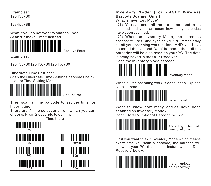#### Examples: 123456789

123456789

What if you do not want to change lines? Scan 'Remove Enter' instead.



Examples:

123456789123456789123456789

Hibernate Time Settings:

Scan the Hibernate Time Settings barcodes below to enter Time Setting Mode.

Remove Enter



Then scan a time barcode to set the time for hibernating.

There are 7 time selections from which you can choose. From 2 seconds to 60 min.



## **Inventory Mode: (For 2.4GHz Wireless Barcode Scanner Only )**

What is Inventory Mode?

 $(1)$  You can scan all the barcodes need to be scanned and you can count how many barcodes have been scanned.

(2)When on Inventory Mode, the barcodes scanned will NOT displayed on your PC immediately till all your scanning work is done AND you have scanned the 'Upload Data' barcode, then all the barcodes will be displayed on your PC. The data is being saved in the USB Receiver.

Scan the Inventory Mode barcode.



When all the scanning work is done, scan ' Upload Data' barcode.



Want to know how many entries have been scanned on Inventory Mode?

Scan ' Total Number of Barcode' will do.



According to the total number of data

Or if you want to exit Inventory Mode which means every time you scan a barcode, the barcode will show on your PC, then scan ' Instant Upload Data Recovery' below.



Instant upload data recovery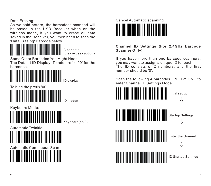Data Erasing:

As we said before, the barcodess scanned will be saved in the USB Receiver when on the wireless mode, if you want to erase all data saved in the Receiver, you then need to scan the 'Data Erasing' Barcode below.

Clear data (please use caution)

Some Other Barcodes You Might Need. The Default ID Display: To add prefix '00' for the barcodes.



To hide the prefix '00' ID hidden

Keyboard Mode: **WININI WINI WINI** 

Keyboard(ps/2)

Automatic Twinkle:



Automatic Continuous Scan





**Channel ID Settings (For 2.4GHz Barcode Scanner Only)**

If you have more than one barcode scanners, you may want to assign a unique ID for each. The ID consists of 2 numbers, and the first number should be '0'.

Scan the following 4 barcodes ONE BY ONE to enter Channel ID Settings Mode.

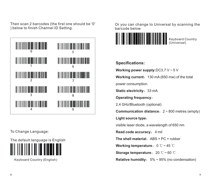Then scan 2 barcodes (the first one should be '0' ) below to finish Channel ID Setting.



To Change Language:

The default language is English

Keyboard Country (English)

Or you can change to Universal by scanning the barcode below



## **Specifications:**

**Working power supply:**DC3.7 V ~ 5 V **Working current:** 130 mA (650 mw) of the total power consumption.

**Static electricity: 33 mA** 

**Operating frequency**:

2.4 GHz/Bluetooth (optional)

**Communication distance**:2 ~ 800 metres (empty)

**Light source type**:

visible laser diode, a wavelength of 650 nm

**Read code accuracy:** 4 mil

**The shell material: ABS + PC + rubber** 

**Working temperature:** 0 ℃~45 ℃

**Storage temperature**:20 ℃~ 60 ℃

**Relative humidity:** 5% ~ 95% (no condensation)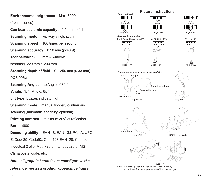**Environmental brightness: Max. 5000 Lux.** 

(fluorescence)

**Can bear aseismic capacity:** 1.5 m free fall

**Scanning mode:** two-way single scan

**Scanning speed: 100 times per second** 

**Scanning accuracy:** 0.10 mm (pcs0.9)

**scannerwidth: 30 mm** @ window

scanning .220 mm @ 200 mm

**Scanning depth of field:**  $0 \approx 250$  mm (0.33 mm)

:

PCS 90%)

**Scanning Angle:** the Angle of 30 °

**Angle: 75 ° Angle: 65 °** 

**Lift type:** buzzer, indicator light

**Scanning mode:** manual trigger / continuous

scanning (automatic scanning optional)

**Printing contrast:** minimum 30% of reflection

**Ber**:1/600

**Decoding ability:** EAN - 8, EAN 13, UPC - A, UPC -

E, Code39, Code93, Code128 EAN128, Codaber Industoal 2 of 5, Matrix2of5,Interleave2of5, MSI, China postal code, etc.

*Note: all graphic barcode scanner figure is the reference, not as a product appearance figure.*